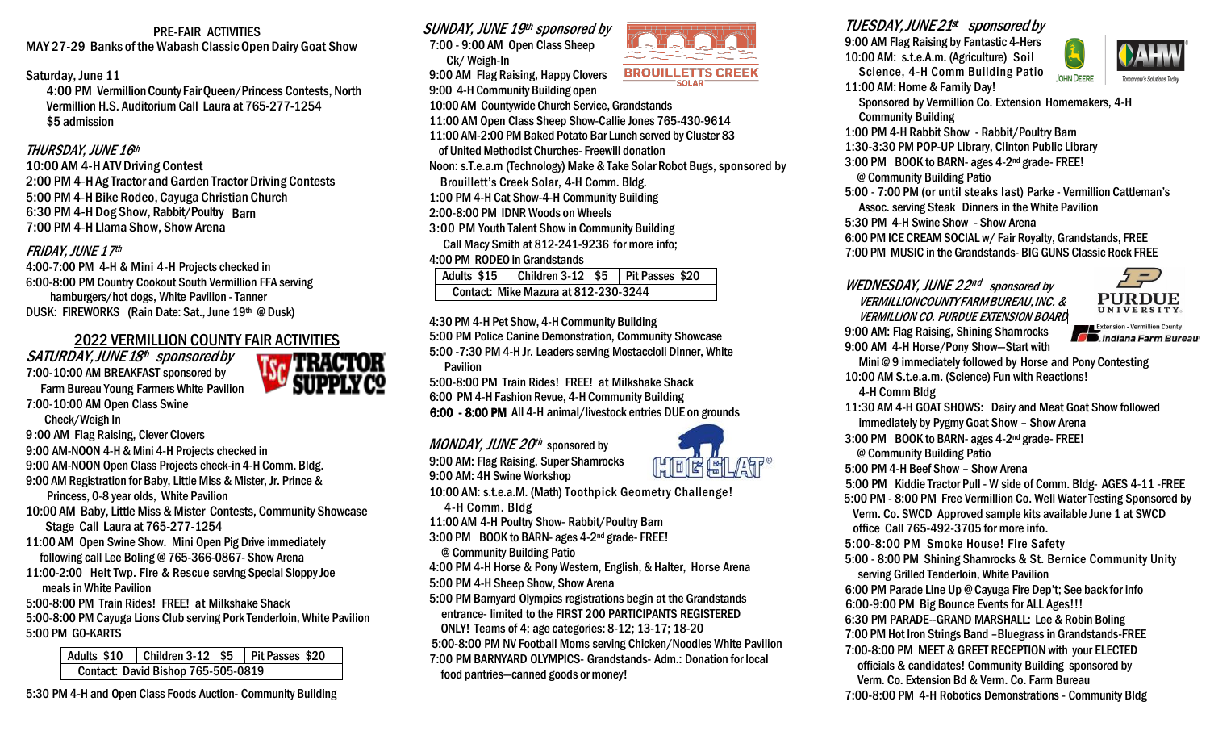PRE-FAIR ACTIVITIES MAY 27-29 Banks of the Wabash Classic Open Dairy Goat Show

#### Saturday, June 11

4:00 PM VermillionCounty FairQueen/Princess Contests, North Vermillion H.S. Auditorium Call Laura at 765-277-1254 \$5 admission

## THURSDAY, JUNE 16th

6:30 PM 4-H Dog Show, Rabbit/Poultry Barn 10:00 AM 4-H ATV Driving Contest 2:00 PM 4-H Ag Tractor and Garden Tractor Driving Contests 5:00 PM 4-H Bike Rodeo, Cayuga Christian Church 7:00 PM 4-H Llama Show, Show Arena

#### FRIDAY, JUNE 17th

4:00-7:00 PM 4-H & Mini 4-H Projects checked in 6:00-8:00 PM Country Cookout South Vermillion FFA serving hamburgers/hot dogs, White Pavilion -Tanner DUSK: FIREWORKS (Rain Date: Sat., June 19th @ Dusk)

# 2022 VERMILLION COUNTY FAIR ACTIVITIES

SATURDAY,JUNE18 th sponsoredby 7:00-10:00 AM BREAKFAST sponsored by Farm Bureau Young Farmers White Pavilion 7:00-10:00 AM Open Class Swine



- 9:00 AM Flag Raising, Clever Clovers
- 9:00 AM-NOON 4-H& Mini 4-H Projects checked in
- 9:00 AM-NOON Open Class Projects check-in 4-H Comm. Bldg.
- 9:00 AM Registration for Baby, Little Miss & Mister, Jr. Prince &
- Princess, 0-8 year olds, White Pavilion
- 10:00 AM Baby, Little Miss & Mister Contests, Community Showcase Stage Call Laura at 765-277-1254
- 11:00 AM Open Swine Show. Mini Open Pig Drive immediately following call Lee Boling @ 765-366-0867- Show Arena
- 11:00-2:00 Helt Twp. Fire & Rescue serving Special Sloppy Joe meals in White Pavilion
- 5:00-8:00 PM Train Rides! FREE! at Milkshake Shack
- 5:00-8:00 PM Cayuga Lions Club serving Pork Tenderloin,White Pavilion 5:00 PM G0-KARTS

Adults \$10 | Children 3-12 \$5 | Pit Passes \$20 Contact: David Bishop 765-505-0819

5:30 PM 4-H and Open Class Foods Auction- Community Building



9:00 AM Flag Raising, Happy Clovers 9:00 4-H Community Building open

10:00 AM Countwide Church Service, Grandstands

- 11:00 AM Open Class Sheep Show-Callie Jones 765-430-9614
- 11:00 AM-2:00 PM Baked Potato Bar Lunch served by Cluster 83
- of United Methodist Churches- Freewill donation

Noon: s.T.e.a.m (Technology) Make & Take Solar Robot Bugs, sponsored by

- Brouillett's Creek Solar, 4-H Comm. Bldg.
- 1:00 PM 4-H Cat Show-4-H Community Building
- 2:00-8:00 PM IDNR Woods on Wheels
- 3:00 PM Youth Talent Show in Community Building Call Macy Smith at 812-241-9236 for more info;

#### 4:00 PM RODEO in Grandstands

| Adults \$15                          |  |  | Children $3-12$ \$5   Pit Passes \$20 |  |  |
|--------------------------------------|--|--|---------------------------------------|--|--|
| Contact: Mike Mazura at 812-230-3244 |  |  |                                       |  |  |

4:30 PM 4-H Pet Show, 4-H Community Building 5:00 PM Police Canine Demonstration, Community Showcase 5:00 -7:30 PM 4-H Jr. Leaders serving Mostaccioli Dinner, White Pavilion

5:00-8:00 PM Train Rides! FREE! at Milkshake Shack 6:00 PM 4-H Fashion Revue, 4-H Community Building 6:00 - 8:00 PM All 4-H animal/livestock entries DUE on grounds

*MONDAY, JUNE 20<sup>th</sup>* sponsored by 9:00 AM: Flag Raising, Super Shamrocks



**BROUILLETTS CREEK** 

10:00 AM: s.t.e.a.M. (Math) Toothpick Geometry Challenge!

4-H Comm. Bldg

11:00 AM 4-H Poultry Show- Rabbit/Poultry Barn

- 3:00 PM BOOK to BARN- ages 4-2nd grade- FREE!
- @ Community Building Patio

4:00 PM 4-H Horse & PonyWestern, English, & Halter, Horse Arena

- 5:00 PM 4-H Sheep Show, Show Arena
- 5:00 PM Barnyard Olympics registrations begin at the Grandstands entrance- limited to the FIRST 200 PARTICIPANTS REGISTERED ONLY! Teams of 4; age categories: 8-12; 13-17; 18-20
- 5:00-8:00 PM NV Football Moms serving Chicken/Noodles White Pavilion 7:00 PM BARNYARD OLYMPICS- Grandstands- Adm.: Donation for local food pantries—canned goods or money!



9:00 AM Flag Raising by Fantastic 4-Hers 10:00 AM: s.t.e.A.m. (Agriculture) Soil Science, 4-H Comm Building Patio



- **JOHN DEERE** 11:00 AM: Home & Family Day! Sponsored by Vermillion Co. Extension Homemakers, 4-H
- Community Building
- 1:00 PM 4-H Rabbit Show Rabbit/Poultry Barn

1:30-3:30 PM POP-UP Library, Clinton Public Library

3:00 PM BOOK to BARN- ages 4-2nd grade- FREE!

@ Community Building Patio

- 5:00 7:00 PM (or until steaks last) Parke Vermillion Cattleman's Assoc. serving Steak Dinners in the White Pavilion
- 5:30 PM 4-H Swine Show Show Arena
- 6:00 PM ICE CREAM SOCIAL w/ Fair Royalty, Grandstands, FREE

7:00 PM MUSIC in the Grandstands- BIG GUNS Classic Rock FREE

# WEDNESDAY, JUNE 22nd sponsored by VERMILLIONCOUNTY FARMBUREAU,INC.& VERMILLION CO. PURDUE EXTENSION BOARD 9:00 AM: Flag Raising, Shining Shamrocks



Extension - Vermillion County **Extension - Vermillion County**<br> **Constrained Farm Bureau** 9:00 AM 4-H Horse/Pony Show—Start with

Mini @ 9 immediately followed by Horse and Pony Contesting 10:00 AM S.t.e.a.m. (Science) Fun with Reactions!

4-H Comm Bldg

- 11:30 AM 4-H GOAT SHOWS: Dairy and Meat Goat Show followed immediately by Pygmy Goat Show – Show Arena
- 3:00 PM BOOK to BARN- ages 4-2nd grade- FREE! @ Community Building Patio
- 5:00 PM 4-H Beef Show Show Arena
- 5:00 PM Kiddie Tractor Pull W side of Comm. Bldg- AGES 4-11 -FREE
- 5:00 PM 8:00 PM Free Vermillion Co. Well Water Testing Sponsored by Verm. Co. SWCD Approved sample kits available June 1 at SWCD office Call 765-492-3705 for more info.
- 5:00-8:00 PM Smoke House! Fire Safety
- 5:00 8:00 PM Shining Shamrocks & St. Bernice Community Unity serving Grilled Tenderloin, White Pavilion
- 6:00 PM Parade Line Up @ Cayuga Fire Dep't; See back for info
- 6:00-9:00 PM Big Bounce Events for ALL Ages!!!
- 6:30 PM PARADE--GRAND MARSHALL: Lee & Robin Boling
- 7:00 PM Hot Iron Strings Band –Bluegrass in Grandstands-FREE
- 7:00-8:00 PM MEET & GREET RECEPTION with your ELECTED officials & candidates! Community Building sponsored by
- Verm. Co. Extension Bd & Verm. Co. Farm Bureau
- 7:00-8:00 PM 4-H Robotics Demonstrations Community Bldg





9:00 AM: 4H Swine Workshop